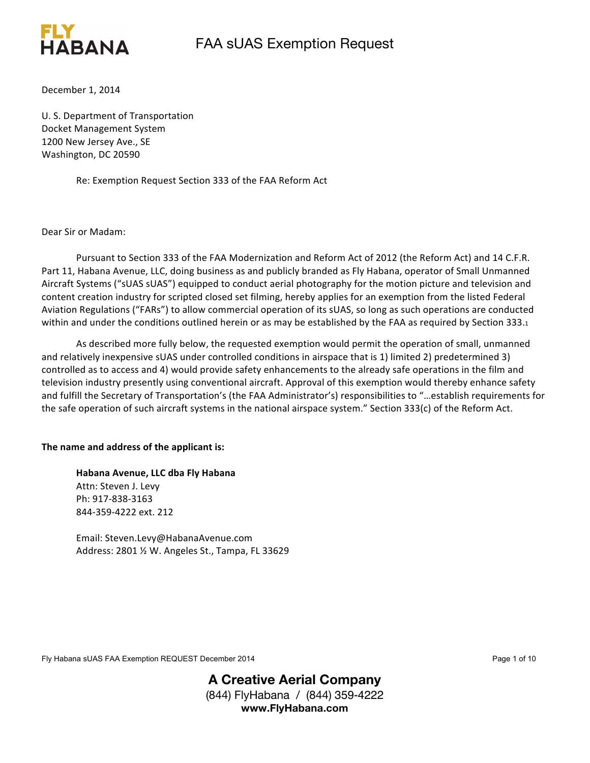

December 1, 2014

U. S. Department of Transportation Docket Management System 1200 New Jersey Ave., SE Washington, DC 20590

Re: Exemption Request Section 333 of the FAA Reform Act

Dear Sir or Madam: 

Pursuant to Section 333 of the FAA Modernization and Reform Act of 2012 (the Reform Act) and 14 C.F.R. Part 11, Habana Avenue, LLC, doing business as and publicly branded as Fly Habana, operator of Small Unmanned Aircraft Systems ("sUAS sUAS") equipped to conduct aerial photography for the motion picture and television and content creation industry for scripted closed set filming, hereby applies for an exemption from the listed Federal Aviation Regulations ("FARs") to allow commercial operation of its sUAS, so long as such operations are conducted within and under the conditions outlined herein or as may be established by the FAA as required by Section 333.1

As described more fully below, the requested exemption would permit the operation of small, unmanned and relatively inexpensive sUAS under controlled conditions in airspace that is 1) limited 2) predetermined 3) controlled as to access and 4) would provide safety enhancements to the already safe operations in the film and television industry presently using conventional aircraft. Approval of this exemption would thereby enhance safety and fulfill the Secretary of Transportation's (the FAA Administrator's) responsibilities to "...establish requirements for the safe operation of such aircraft systems in the national airspace system." Section 333(c) of the Reform Act.

#### The name and address of the applicant is:

**Habana Avenue, LLC dba Fly Habana** Attn: Steven J. Levy Ph: 917-838-3163 844-359-4222 ext. 212

Email: Steven.Levy@HabanaAvenue.com Address: 2801 % W. Angeles St., Tampa, FL 33629

Fly Habana sUAS FAA Exemption REQUEST December 2014 **Page 1 of 10** Page 1 of 10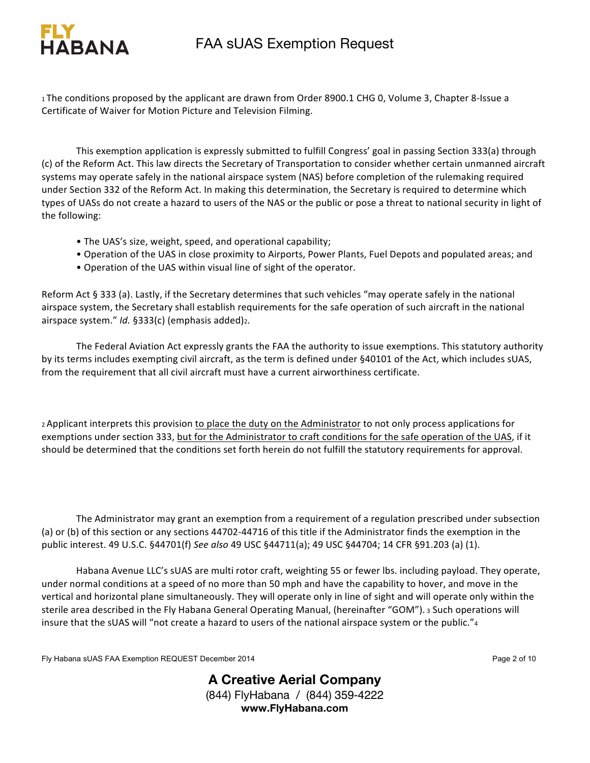

1 The conditions proposed by the applicant are drawn from Order 8900.1 CHG 0, Volume 3, Chapter 8-Issue a Certificate of Waiver for Motion Picture and Television Filming.

This exemption application is expressly submitted to fulfill Congress' goal in passing Section 333(a) through (c) of the Reform Act. This law directs the Secretary of Transportation to consider whether certain unmanned aircraft systems may operate safely in the national airspace system (NAS) before completion of the rulemaking required under Section 332 of the Reform Act. In making this determination, the Secretary is required to determine which types of UASs do not create a hazard to users of the NAS or the public or pose a threat to national security in light of the following:

- The UAS's size, weight, speed, and operational capability;
- Operation of the UAS in close proximity to Airports, Power Plants, Fuel Depots and populated areas; and
- Operation of the UAS within visual line of sight of the operator.

Reform Act § 333 (a). Lastly, if the Secretary determines that such vehicles "may operate safely in the national airspace system, the Secretary shall establish requirements for the safe operation of such aircraft in the national airspace system." *Id.* §333(c) (emphasis added)2.

The Federal Aviation Act expressly grants the FAA the authority to issue exemptions. This statutory authority by its terms includes exempting civil aircraft, as the term is defined under §40101 of the Act, which includes sUAS, from the requirement that all civil aircraft must have a current airworthiness certificate.

2 Applicant interprets this provision to place the duty on the Administrator to not only process applications for exemptions under section 333, but for the Administrator to craft conditions for the safe operation of the UAS, if it should be determined that the conditions set forth herein do not fulfill the statutory requirements for approval.

The Administrator may grant an exemption from a requirement of a regulation prescribed under subsection (a) or (b) of this section or any sections 44702-44716 of this title if the Administrator finds the exemption in the public interest. 49 U.S.C. §44701(f) See also 49 USC §44711(a); 49 USC §44704; 14 CFR §91.203 (a) (1).

Habana Avenue LLC's sUAS are multi rotor craft, weighting 55 or fewer lbs. including payload. They operate, under normal conditions at a speed of no more than 50 mph and have the capability to hover, and move in the vertical and horizontal plane simultaneously. They will operate only in line of sight and will operate only within the sterile area described in the Fly Habana General Operating Manual, (hereinafter "GOM"). 3 Such operations will insure that the sUAS will "not create a hazard to users of the national airspace system or the public."4

Fly Habana sUAS FAA Exemption REQUEST December 2014 **Page 2 of 10** Page 2 of 10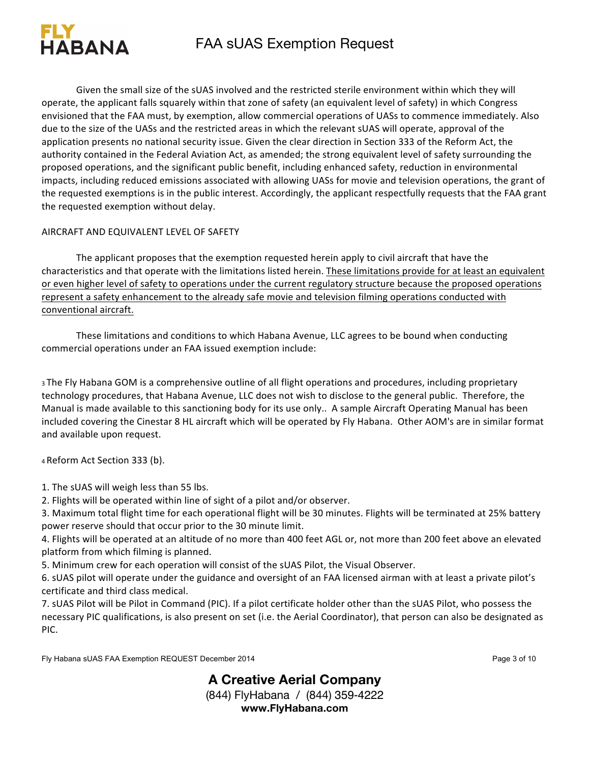

Given the small size of the sUAS involved and the restricted sterile environment within which they will operate, the applicant falls squarely within that zone of safety (an equivalent level of safety) in which Congress envisioned that the FAA must, by exemption, allow commercial operations of UASs to commence immediately. Also due to the size of the UASs and the restricted areas in which the relevant sUAS will operate, approval of the application presents no national security issue. Given the clear direction in Section 333 of the Reform Act, the authority contained in the Federal Aviation Act, as amended; the strong equivalent level of safety surrounding the proposed operations, and the significant public benefit, including enhanced safety, reduction in environmental impacts, including reduced emissions associated with allowing UASs for movie and television operations, the grant of the requested exemptions is in the public interest. Accordingly, the applicant respectfully requests that the FAA grant the requested exemption without delay.

#### AIRCRAFT AND EQUIVALENT LEVEL OF SAFETY

The applicant proposes that the exemption requested herein apply to civil aircraft that have the characteristics and that operate with the limitations listed herein. These limitations provide for at least an equivalent or even higher level of safety to operations under the current regulatory structure because the proposed operations represent a safety enhancement to the already safe movie and television filming operations conducted with conventional aircraft.

These limitations and conditions to which Habana Avenue, LLC agrees to be bound when conducting commercial operations under an FAA issued exemption include:

3 The Fly Habana GOM is a comprehensive outline of all flight operations and procedures, including proprietary technology procedures, that Habana Avenue, LLC does not wish to disclose to the general public. Therefore, the Manual is made available to this sanctioning body for its use only.. A sample Aircraft Operating Manual has been included covering the Cinestar 8 HL aircraft which will be operated by Fly Habana. Other AOM's are in similar format and available upon request.

4 Reform Act Section 333 (b).

1. The sUAS will weigh less than 55 lbs.

2. Flights will be operated within line of sight of a pilot and/or observer.

3. Maximum total flight time for each operational flight will be 30 minutes. Flights will be terminated at 25% battery power reserve should that occur prior to the 30 minute limit.

4. Flights will be operated at an altitude of no more than 400 feet AGL or, not more than 200 feet above an elevated platform from which filming is planned.

5. Minimum crew for each operation will consist of the sUAS Pilot, the Visual Observer.

6. sUAS pilot will operate under the guidance and oversight of an FAA licensed airman with at least a private pilot's certificate and third class medical.

7. sUAS Pilot will be Pilot in Command (PIC). If a pilot certificate holder other than the sUAS Pilot, who possess the necessary PIC qualifications, is also present on set (i.e. the Aerial Coordinator), that person can also be designated as PIC. 

Fly Habana sUAS FAA Exemption REQUEST December 2014 **Page 3** of 10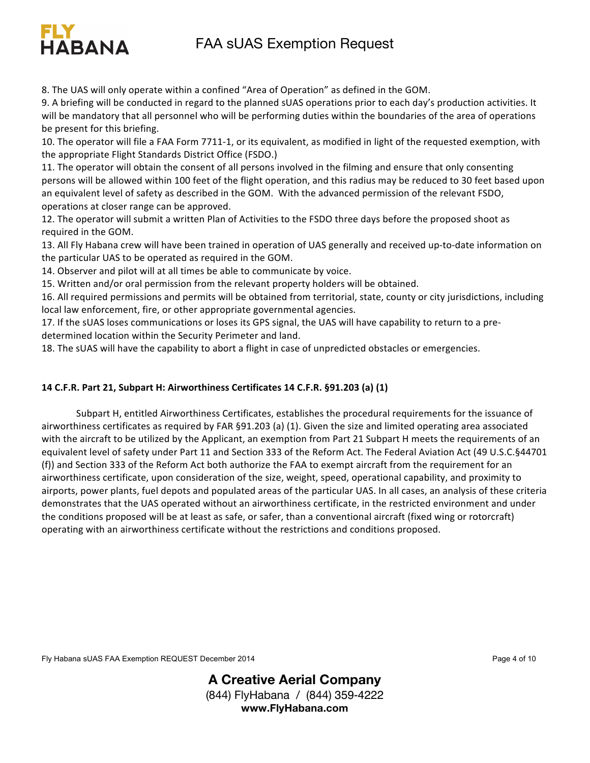## FIY A STRAIGHT AND THE CONTRACTOR CONTRACTOR CONTRACTOR FAA sUAS Exemption Request

8. The UAS will only operate within a confined "Area of Operation" as defined in the GOM.

9. A briefing will be conducted in regard to the planned sUAS operations prior to each day's production activities. It will be mandatory that all personnel who will be performing duties within the boundaries of the area of operations be present for this briefing.

10. The operator will file a FAA Form 7711-1, or its equivalent, as modified in light of the requested exemption, with the appropriate Flight Standards District Office (FSDO.)

11. The operator will obtain the consent of all persons involved in the filming and ensure that only consenting persons will be allowed within 100 feet of the flight operation, and this radius may be reduced to 30 feet based upon an equivalent level of safety as described in the GOM. With the advanced permission of the relevant FSDO, operations at closer range can be approved.

12. The operator will submit a written Plan of Activities to the FSDO three days before the proposed shoot as required in the GOM.

13. All Fly Habana crew will have been trained in operation of UAS generally and received up-to-date information on the particular UAS to be operated as required in the GOM.

14. Observer and pilot will at all times be able to communicate by voice.

HARANA

15. Written and/or oral permission from the relevant property holders will be obtained.

16. All required permissions and permits will be obtained from territorial, state, county or city jurisdictions, including local law enforcement, fire, or other appropriate governmental agencies.

17. If the sUAS loses communications or loses its GPS signal, the UAS will have capability to return to a predetermined location within the Security Perimeter and land.

18. The sUAS will have the capability to abort a flight in case of unpredicted obstacles or emergencies.

#### **14 C.F.R. Part 21, Subpart H: Airworthiness Certificates 14 C.F.R. §91.203 (a) (1)**

Subpart H, entitled Airworthiness Certificates, establishes the procedural requirements for the issuance of airworthiness certificates as required by FAR §91.203 (a) (1). Given the size and limited operating area associated with the aircraft to be utilized by the Applicant, an exemption from Part 21 Subpart H meets the requirements of an equivalent level of safety under Part 11 and Section 333 of the Reform Act. The Federal Aviation Act (49 U.S.C.§44701 (f)) and Section 333 of the Reform Act both authorize the FAA to exempt aircraft from the requirement for an airworthiness certificate, upon consideration of the size, weight, speed, operational capability, and proximity to airports, power plants, fuel depots and populated areas of the particular UAS. In all cases, an analysis of these criteria demonstrates that the UAS operated without an airworthiness certificate, in the restricted environment and under the conditions proposed will be at least as safe, or safer, than a conventional aircraft (fixed wing or rotorcraft) operating with an airworthiness certificate without the restrictions and conditions proposed.

Fly Habana sUAS FAA Exemption REQUEST December 2014 **Page 4 of 10** Page 4 of 10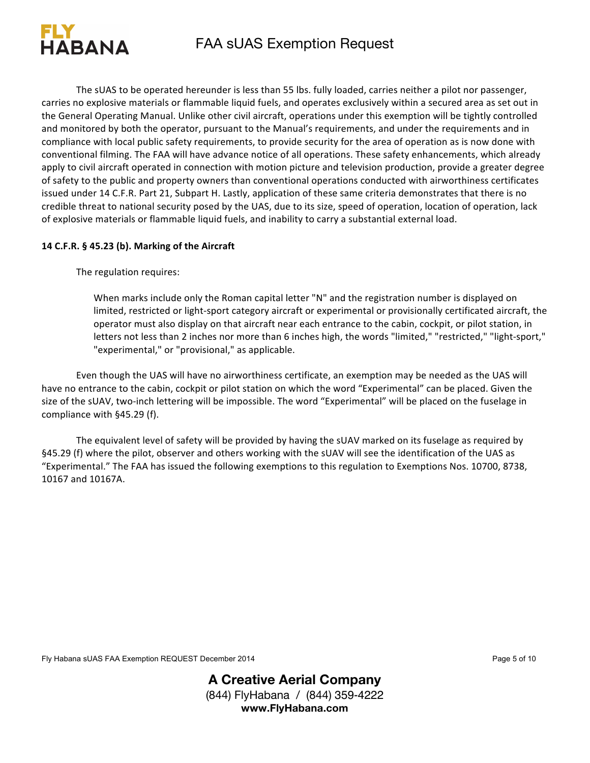

The sUAS to be operated hereunder is less than 55 lbs. fully loaded, carries neither a pilot nor passenger, carries no explosive materials or flammable liquid fuels, and operates exclusively within a secured area as set out in the General Operating Manual. Unlike other civil aircraft, operations under this exemption will be tightly controlled and monitored by both the operator, pursuant to the Manual's requirements, and under the requirements and in compliance with local public safety requirements, to provide security for the area of operation as is now done with conventional filming. The FAA will have advance notice of all operations. These safety enhancements, which already apply to civil aircraft operated in connection with motion picture and television production, provide a greater degree of safety to the public and property owners than conventional operations conducted with airworthiness certificates issued under 14 C.F.R. Part 21, Subpart H. Lastly, application of these same criteria demonstrates that there is no credible threat to national security posed by the UAS, due to its size, speed of operation, location of operation, lack of explosive materials or flammable liquid fuels, and inability to carry a substantial external load.

#### 14 C.F.R. § 45.23 (b). Marking of the Aircraft

The regulation requires:

When marks include only the Roman capital letter "N" and the registration number is displayed on limited, restricted or light-sport category aircraft or experimental or provisionally certificated aircraft, the operator must also display on that aircraft near each entrance to the cabin, cockpit, or pilot station, in letters not less than 2 inches nor more than 6 inches high, the words "limited," "restricted," "light-sport," "experimental," or "provisional," as applicable.

Even though the UAS will have no airworthiness certificate, an exemption may be needed as the UAS will have no entrance to the cabin, cockpit or pilot station on which the word "Experimental" can be placed. Given the size of the sUAV, two-inch lettering will be impossible. The word "Experimental" will be placed on the fuselage in compliance with §45.29 (f).

The equivalent level of safety will be provided by having the sUAV marked on its fuselage as required by §45.29 (f) where the pilot, observer and others working with the sUAV will see the identification of the UAS as "Experimental." The FAA has issued the following exemptions to this regulation to Exemptions Nos. 10700, 8738, 10167 and 10167A. 

Fly Habana sUAS FAA Exemption REQUEST December 2014 **Page 5 of 10** Page 5 of 10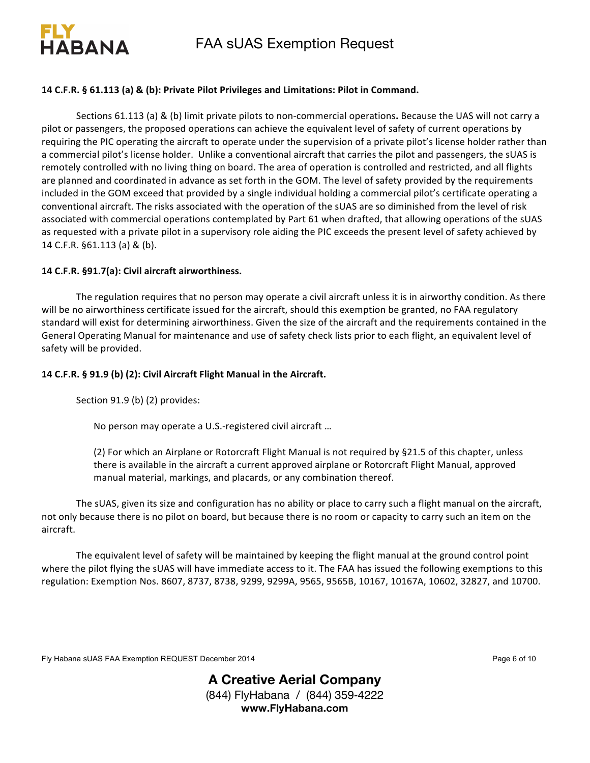

FAA sUAS Exemption Request

#### 14 C.F.R. § 61.113 (a) & (b): Private Pilot Privileges and Limitations: Pilot in Command.

Sections 61.113 (a) & (b) limit private pilots to non-commercial operations. Because the UAS will not carry a pilot or passengers, the proposed operations can achieve the equivalent level of safety of current operations by requiring the PIC operating the aircraft to operate under the supervision of a private pilot's license holder rather than a commercial pilot's license holder. Unlike a conventional aircraft that carries the pilot and passengers, the sUAS is remotely controlled with no living thing on board. The area of operation is controlled and restricted, and all flights are planned and coordinated in advance as set forth in the GOM. The level of safety provided by the requirements included in the GOM exceed that provided by a single individual holding a commercial pilot's certificate operating a conventional aircraft. The risks associated with the operation of the sUAS are so diminished from the level of risk associated with commercial operations contemplated by Part 61 when drafted, that allowing operations of the sUAS as requested with a private pilot in a supervisory role aiding the PIC exceeds the present level of safety achieved by 14 C.F.R. §61.113 (a) & (b).

#### 14 C.F.R. §91.7(a): Civil aircraft airworthiness.

The regulation requires that no person may operate a civil aircraft unless it is in airworthy condition. As there will be no airworthiness certificate issued for the aircraft, should this exemption be granted, no FAA regulatory standard will exist for determining airworthiness. Given the size of the aircraft and the requirements contained in the General Operating Manual for maintenance and use of safety check lists prior to each flight, an equivalent level of safety will be provided.

#### 14 C.F.R. § 91.9 (b) (2): Civil Aircraft Flight Manual in the Aircraft.

Section 91.9 (b) (2) provides:

No person may operate a U.S.-registered civil aircraft ...

(2) For which an Airplane or Rotorcraft Flight Manual is not required by §21.5 of this chapter, unless there is available in the aircraft a current approved airplane or Rotorcraft Flight Manual, approved manual material, markings, and placards, or any combination thereof.

The sUAS, given its size and configuration has no ability or place to carry such a flight manual on the aircraft, not only because there is no pilot on board, but because there is no room or capacity to carry such an item on the aircraft. 

The equivalent level of safety will be maintained by keeping the flight manual at the ground control point where the pilot flying the sUAS will have immediate access to it. The FAA has issued the following exemptions to this regulation: Exemption Nos. 8607, 8737, 8738, 9299, 9299A, 9565, 9565B, 10167, 10167A, 10602, 32827, and 10700.

Fly Habana sUAS FAA Exemption REQUEST December 2014 **Page 6** of 10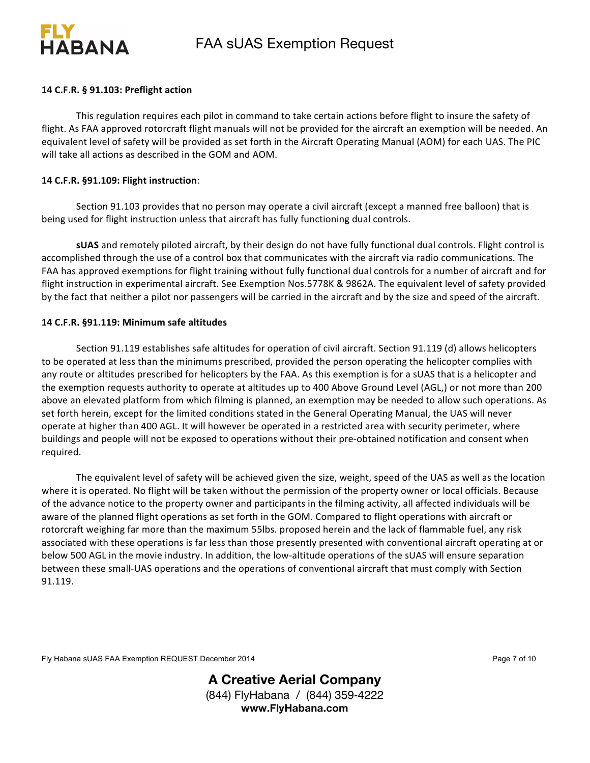

#### 14 C.F.R. § 91.103: Preflight action

This regulation requires each pilot in command to take certain actions before flight to insure the safety of flight. As FAA approved rotorcraft flight manuals will not be provided for the aircraft an exemption will be needed. An equivalent level of safety will be provided as set forth in the Aircraft Operating Manual (AOM) for each UAS. The PIC will take all actions as described in the GOM and AOM.

#### **14 C.F.R. §91.109: Flight instruction**:

Section 91.103 provides that no person may operate a civil aircraft (except a manned free balloon) that is being used for flight instruction unless that aircraft has fully functioning dual controls.

**sUAS** and remotely piloted aircraft, by their design do not have fully functional dual controls. Flight control is accomplished through the use of a control box that communicates with the aircraft via radio communications. The FAA has approved exemptions for flight training without fully functional dual controls for a number of aircraft and for flight instruction in experimental aircraft. See Exemption Nos.5778K & 9862A. The equivalent level of safety provided by the fact that neither a pilot nor passengers will be carried in the aircraft and by the size and speed of the aircraft.

#### 14 C.F.R. §91.119: Minimum safe altitudes

Section 91.119 establishes safe altitudes for operation of civil aircraft. Section 91.119 (d) allows helicopters to be operated at less than the minimums prescribed, provided the person operating the helicopter complies with any route or altitudes prescribed for helicopters by the FAA. As this exemption is for a sUAS that is a helicopter and the exemption requests authority to operate at altitudes up to 400 Above Ground Level (AGL,) or not more than 200 above an elevated platform from which filming is planned, an exemption may be needed to allow such operations. As set forth herein, except for the limited conditions stated in the General Operating Manual, the UAS will never operate at higher than 400 AGL. It will however be operated in a restricted area with security perimeter, where buildings and people will not be exposed to operations without their pre-obtained notification and consent when required.

The equivalent level of safety will be achieved given the size, weight, speed of the UAS as well as the location where it is operated. No flight will be taken without the permission of the property owner or local officials. Because of the advance notice to the property owner and participants in the filming activity, all affected individuals will be aware of the planned flight operations as set forth in the GOM. Compared to flight operations with aircraft or rotorcraft weighing far more than the maximum 55lbs. proposed herein and the lack of flammable fuel, any risk associated with these operations is far less than those presently presented with conventional aircraft operating at or below 500 AGL in the movie industry. In addition, the low-altitude operations of the sUAS will ensure separation between these small-UAS operations and the operations of conventional aircraft that must comply with Section 91.119. 

Fly Habana sUAS FAA Exemption REQUEST December 2014 **Page 7** of 10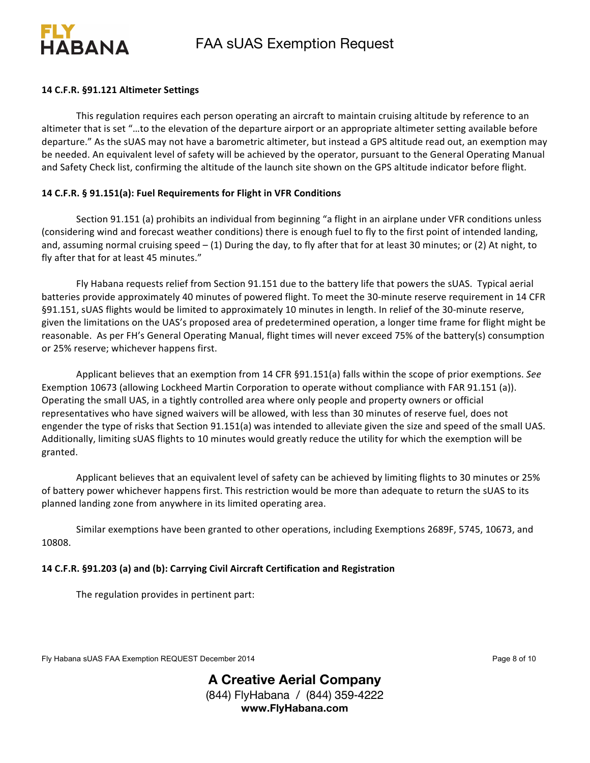



#### **14 C.F.R. §91.121 Altimeter Settings**

This regulation requires each person operating an aircraft to maintain cruising altitude by reference to an altimeter that is set "...to the elevation of the departure airport or an appropriate altimeter setting available before departure." As the sUAS may not have a barometric altimeter, but instead a GPS altitude read out, an exemption may be needed. An equivalent level of safety will be achieved by the operator, pursuant to the General Operating Manual and Safety Check list, confirming the altitude of the launch site shown on the GPS altitude indicator before flight.

#### **14 C.F.R. § 91.151(a): Fuel Requirements for Flight in VFR Conditions**

Section 91.151 (a) prohibits an individual from beginning "a flight in an airplane under VFR conditions unless (considering wind and forecast weather conditions) there is enough fuel to fly to the first point of intended landing, and, assuming normal cruising speed  $-$  (1) During the day, to fly after that for at least 30 minutes; or (2) At night, to fly after that for at least 45 minutes."

Fly Habana requests relief from Section 91.151 due to the battery life that powers the sUAS. Typical aerial batteries provide approximately 40 minutes of powered flight. To meet the 30-minute reserve requirement in 14 CFR §91.151, sUAS flights would be limited to approximately 10 minutes in length. In relief of the 30-minute reserve, given the limitations on the UAS's proposed area of predetermined operation, a longer time frame for flight might be reasonable. As per FH's General Operating Manual, flight times will never exceed 75% of the battery(s) consumption or 25% reserve; whichever happens first.

Applicant believes that an exemption from 14 CFR §91.151(a) falls within the scope of prior exemptions. See Exemption 10673 (allowing Lockheed Martin Corporation to operate without compliance with FAR 91.151 (a)). Operating the small UAS, in a tightly controlled area where only people and property owners or official representatives who have signed waivers will be allowed, with less than 30 minutes of reserve fuel, does not engender the type of risks that Section 91.151(a) was intended to alleviate given the size and speed of the small UAS. Additionally, limiting sUAS flights to 10 minutes would greatly reduce the utility for which the exemption will be granted. 

Applicant believes that an equivalent level of safety can be achieved by limiting flights to 30 minutes or 25% of battery power whichever happens first. This restriction would be more than adequate to return the sUAS to its planned landing zone from anywhere in its limited operating area.

Similar exemptions have been granted to other operations, including Exemptions 2689F, 5745, 10673, and 10808. 

#### 14 C.F.R. §91.203 (a) and (b): Carrying Civil Aircraft Certification and Registration

The regulation provides in pertinent part:

Fly Habana sUAS FAA Exemption REQUEST December 2014 **Page 8** of 10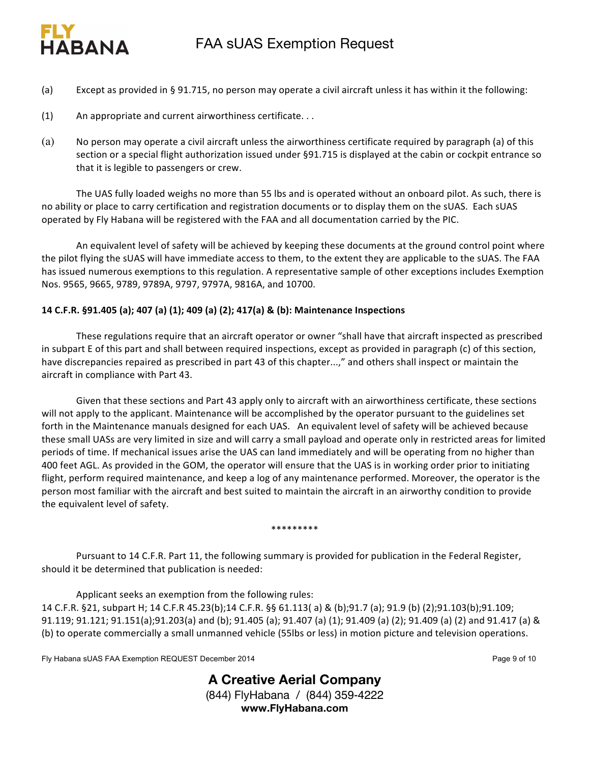# FIY A STRAIGHT AND THE CONTRACTOR CONTRACTOR CONTRACTOR HARANA

- (a) Except as provided in § 91.715, no person may operate a civil aircraft unless it has within it the following:
- (1) An appropriate and current airworthiness certificate. . .
- (a) No person may operate a civil aircraft unless the airworthiness certificate required by paragraph (a) of this section or a special flight authorization issued under §91.715 is displayed at the cabin or cockpit entrance so that it is legible to passengers or crew.

The UAS fully loaded weighs no more than 55 lbs and is operated without an onboard pilot. As such, there is no ability or place to carry certification and registration documents or to display them on the sUAS. Each sUAS operated by Fly Habana will be registered with the FAA and all documentation carried by the PIC.

An equivalent level of safety will be achieved by keeping these documents at the ground control point where the pilot flying the sUAS will have immediate access to them, to the extent they are applicable to the sUAS. The FAA has issued numerous exemptions to this regulation. A representative sample of other exceptions includes Exemption Nos. 9565, 9665, 9789, 9789A, 9797, 9797A, 9816A, and 10700.

### **14 C.F.R. §91.405 (a); 407 (a) (1); 409 (a) (2); 417(a) & (b): Maintenance Inspections**

These regulations require that an aircraft operator or owner "shall have that aircraft inspected as prescribed in subpart E of this part and shall between required inspections, except as provided in paragraph (c) of this section, have discrepancies repaired as prescribed in part 43 of this chapter...," and others shall inspect or maintain the aircraft in compliance with Part 43.

Given that these sections and Part 43 apply only to aircraft with an airworthiness certificate, these sections will not apply to the applicant. Maintenance will be accomplished by the operator pursuant to the guidelines set forth in the Maintenance manuals designed for each UAS. An equivalent level of safety will be achieved because these small UASs are very limited in size and will carry a small payload and operate only in restricted areas for limited periods of time. If mechanical issues arise the UAS can land immediately and will be operating from no higher than 400 feet AGL. As provided in the GOM, the operator will ensure that the UAS is in working order prior to initiating flight, perform required maintenance, and keep a log of any maintenance performed. Moreover, the operator is the person most familiar with the aircraft and best suited to maintain the aircraft in an airworthy condition to provide the equivalent level of safety.

#### \*\*\*\*\*\*\*\*\*

Pursuant to 14 C.F.R. Part 11, the following summary is provided for publication in the Federal Register, should it be determined that publication is needed:

Applicant seeks an exemption from the following rules: 14 C.F.R. §21, subpart H; 14 C.F.R 45.23(b);14 C.F.R. §§ 61.113( a) & (b);91.7 (a); 91.9 (b) (2);91.103(b);91.109; 91.119; 91.121; 91.151(a);91.203(a) and (b); 91.405 (a); 91.407 (a) (1); 91.409 (a) (2); 91.409 (a) (2) and 91.417 (a) & (b) to operate commercially a small unmanned vehicle (55lbs or less) in motion picture and television operations.

Fly Habana sUAS FAA Exemption REQUEST December 2014 **Page 9** of 10